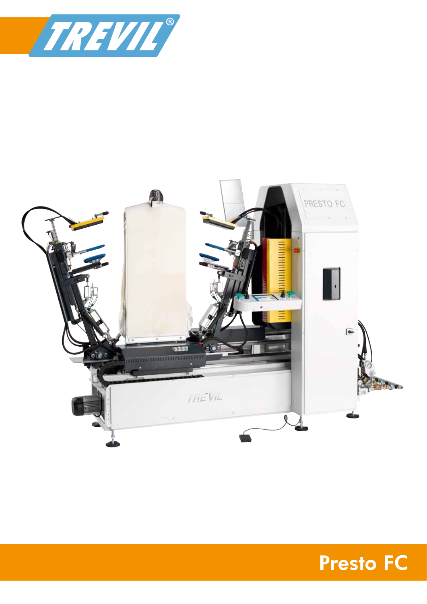



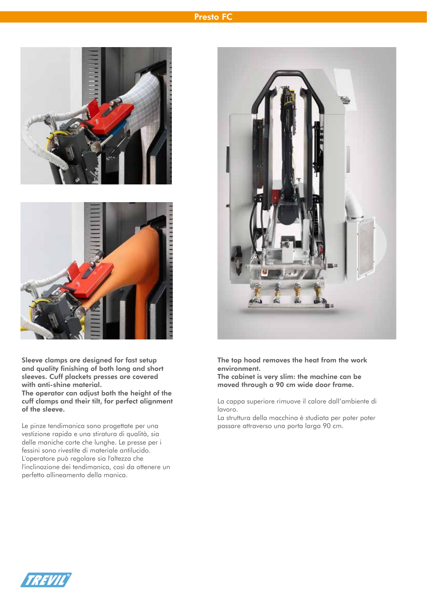## Presto FC



Sleeve clamps are designed for fast setup and quality finishing of both long and short sleeves. Cuff plackets presses are covered with anti-shine material. The operator can adjust both the height of the cuff clamps and their tilt, for perfect alignment of the sleeve.

Le pinze tendimanica sono progettate per una vestizione rapida e una stiratura di qualità, sia delle maniche corte che lunghe. Le presse per i fessini sono rivestite di materiale antilucido. L'operatore può regolare sia l'altezza che l'inclinazione dei tendimanica, così da ottenere un perfetto allineamento della manica.



The top hood removes the heat from the work environment. The cabinet is very slim: the machine can be

moved through a 90 cm wide door frame.

La cappa superiore rimuove il calore dall'ambiente di lavoro.

La struttura della macchina è studiata per poter poter passare attraverso una porta larga 90 cm.

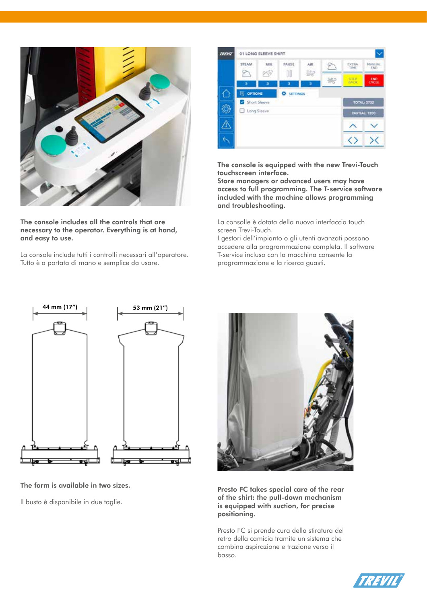

The console includes all the controls that are necessary to the operator. Everything is at hand, and easy to use.

La console include tutti i controlli necessari all'operatore. Tutto è a portata di mano e semplice da usare.



The console is equipped with the new Trevi-Touch touchscreen interface.

Store managers or advanced users may have access to full programming. The T-service software included with the machine allows programming and troubleshooting.

La consolle è dotata della nuova interfaccia touch screen Trevi-Touch.

I gestori dell'impianto o gli utenti avanzati possono accedere alla programmazione completa. Il software T-service incluso con la macchina consente la programmazione e la ricerca guasti.



The form is available in two sizes.

Il busto è disponibile in due taglie.



Presto FC takes special care of the rear of the shirt: the pull-down mechanism is equipped with suction, for precise positioning.

Presto FC si prende cura della stiratura del retro della camicia tramite un sistema che combina aspirazione e trazione verso il basso.